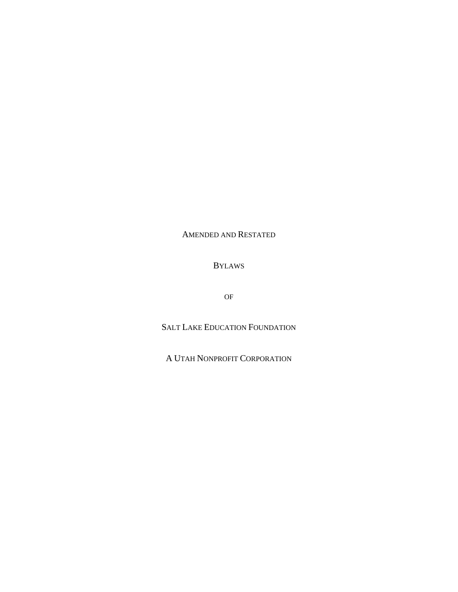# AMENDED AND RESTATED

# BYLAWS

OF

SALT LAKE EDUCATION FOUNDATION

A UTAH NONPROFIT CORPORATION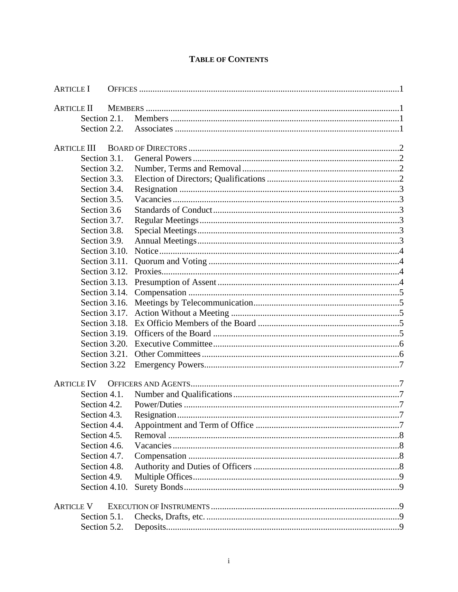| <b>ARTICLE I</b>   |               |  |
|--------------------|---------------|--|
| <b>ARTICLE II</b>  |               |  |
| Section 2.1.       |               |  |
| Section 2.2.       |               |  |
|                    |               |  |
| <b>ARTICLE III</b> |               |  |
| Section 3.1.       |               |  |
| Section 3.2.       |               |  |
| Section 3.3.       |               |  |
| Section 3.4.       |               |  |
| Section 3.5.       |               |  |
| Section 3.6        |               |  |
| Section 3.7.       |               |  |
| Section 3.8.       |               |  |
| Section 3.9.       |               |  |
| Section 3.10.      |               |  |
| Section 3.11.      |               |  |
|                    |               |  |
| Section 3.13.      |               |  |
|                    | Section 3.14. |  |
|                    |               |  |
|                    |               |  |
| Section 3.18.      |               |  |
| Section 3.19.      |               |  |
|                    |               |  |
| Section 3.21.      |               |  |
| Section 3.22       |               |  |
|                    |               |  |
| <b>ARTICLE IV</b>  |               |  |
| Section 4.1.       |               |  |
| Section 4.2.       |               |  |
| Section 4.3.       |               |  |
| Section 4.4.       |               |  |
| Section 4.5.       |               |  |
| Section 4.6.       |               |  |
| Section 4.7.       |               |  |
| Section 4.8.       |               |  |
| Section 4.9.       |               |  |
|                    | Section 4.10. |  |
| <b>ARTICLE V</b>   |               |  |
| Section 5.1.       |               |  |
| Section 5.2.       |               |  |
|                    |               |  |

# **TABLE OF CONTENTS**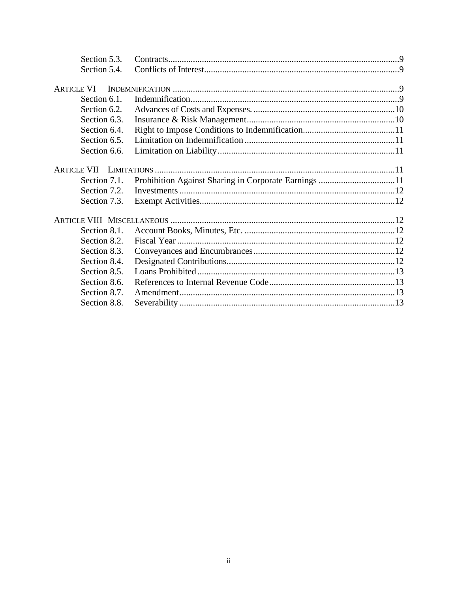| Section 5.3. |                                                      |  |
|--------------|------------------------------------------------------|--|
| Section 5.4. |                                                      |  |
|              |                                                      |  |
| ARTICLE VI   |                                                      |  |
| Section 6.1. |                                                      |  |
| Section 6.2. |                                                      |  |
| Section 6.3. |                                                      |  |
| Section 6.4. |                                                      |  |
| Section 6.5. |                                                      |  |
| Section 6.6. |                                                      |  |
|              |                                                      |  |
|              |                                                      |  |
| Section 7.1. | Prohibition Against Sharing in Corporate Earnings 11 |  |
| Section 7.2. |                                                      |  |
| Section 7.3. |                                                      |  |
|              |                                                      |  |
| Section 8.1. |                                                      |  |
|              |                                                      |  |
| Section 8.2. |                                                      |  |
| Section 8.3. |                                                      |  |
| Section 8.4. |                                                      |  |
| Section 8.5. |                                                      |  |
| Section 8.6. |                                                      |  |
| Section 8.7. |                                                      |  |
| Section 8.8. |                                                      |  |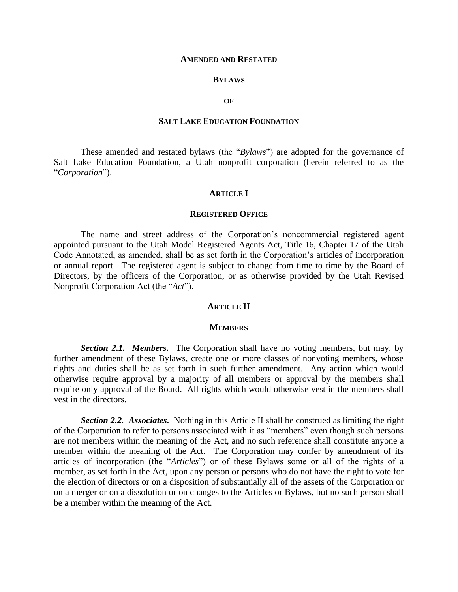#### **AMENDED AND RESTATED**

#### **BYLAWS**

#### **OF**

### **SALT LAKE EDUCATION FOUNDATION**

These amended and restated bylaws (the "*Bylaws*") are adopted for the governance of Salt Lake Education Foundation, a Utah nonprofit corporation (herein referred to as the "*Corporation*").

#### **ARTICLE I**

#### **REGISTERED OFFICE**

The name and street address of the Corporation's noncommercial registered agent appointed pursuant to the Utah Model Registered Agents Act, Title 16, Chapter 17 of the Utah Code Annotated, as amended, shall be as set forth in the Corporation's articles of incorporation or annual report. The registered agent is subject to change from time to time by the Board of Directors, by the officers of the Corporation, or as otherwise provided by the Utah Revised Nonprofit Corporation Act (the "*Act*").

#### **ARTICLE II**

#### **MEMBERS**

*Section 2.1. Members.* The Corporation shall have no voting members, but may, by further amendment of these Bylaws, create one or more classes of nonvoting members, whose rights and duties shall be as set forth in such further amendment. Any action which would otherwise require approval by a majority of all members or approval by the members shall require only approval of the Board. All rights which would otherwise vest in the members shall vest in the directors.

*Section 2.2. Associates.* Nothing in this Article II shall be construed as limiting the right of the Corporation to refer to persons associated with it as "members" even though such persons are not members within the meaning of the Act, and no such reference shall constitute anyone a member within the meaning of the Act. The Corporation may confer by amendment of its articles of incorporation (the "*Articles*") or of these Bylaws some or all of the rights of a member, as set forth in the Act, upon any person or persons who do not have the right to vote for the election of directors or on a disposition of substantially all of the assets of the Corporation or on a merger or on a dissolution or on changes to the Articles or Bylaws, but no such person shall be a member within the meaning of the Act.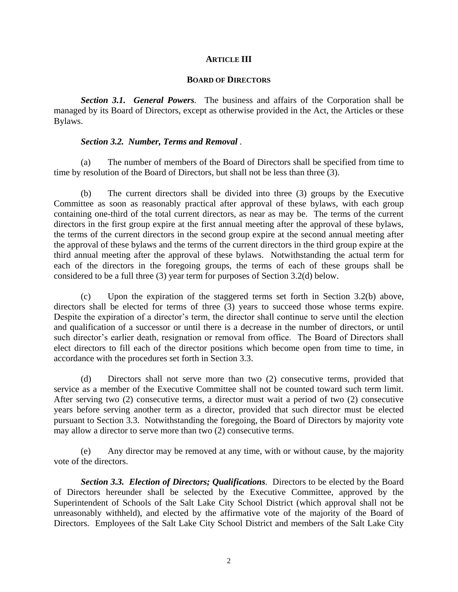### **ARTICLE III**

### **BOARD OF DIRECTORS**

*Section 3.1. General Powers.* The business and affairs of the Corporation shall be managed by its Board of Directors, except as otherwise provided in the Act, the Articles or these Bylaws.

## *Section 3.2. Number, Terms and Removal .*

(a) The number of members of the Board of Directors shall be specified from time to time by resolution of the Board of Directors*,* but shall not be less than three (3).

(b) The current directors shall be divided into three (3) groups by the Executive Committee as soon as reasonably practical after approval of these bylaws, with each group containing one-third of the total current directors, as near as may be. The terms of the current directors in the first group expire at the first annual meeting after the approval of these bylaws, the terms of the current directors in the second group expire at the second annual meeting after the approval of these bylaws and the terms of the current directors in the third group expire at the third annual meeting after the approval of these bylaws. Notwithstanding the actual term for each of the directors in the foregoing groups, the terms of each of these groups shall be considered to be a full three (3) year term for purposes of Section 3.2(d) below.

(c) Upon the expiration of the staggered terms set forth in Section 3.2(b) above, directors shall be elected for terms of three (3) years to succeed those whose terms expire. Despite the expiration of a director's term, the director shall continue to serve until the election and qualification of a successor or until there is a decrease in the number of directors, or until such director's earlier death, resignation or removal from office. The Board of Directors shall elect directors to fill each of the director positions which become open from time to time, in accordance with the procedures set forth in Section 3.3.

(d) Directors shall not serve more than two (2) consecutive terms, provided that service as a member of the Executive Committee shall not be counted toward such term limit. After serving two (2) consecutive terms, a director must wait a period of two (2) consecutive years before serving another term as a director, provided that such director must be elected pursuant to Section 3.3. Notwithstanding the foregoing, the Board of Directors by majority vote may allow a director to serve more than two (2) consecutive terms.

(e) Any director may be removed at any time, with or without cause, by the majority vote of the directors.

*Section 3.3. Election of Directors; Qualifications.* Directors to be elected by the Board of Directors hereunder shall be selected by the Executive Committee, approved by the Superintendent of Schools of the Salt Lake City School District (which approval shall not be unreasonably withheld), and elected by the affirmative vote of the majority of the Board of Directors. Employees of the Salt Lake City School District and members of the Salt Lake City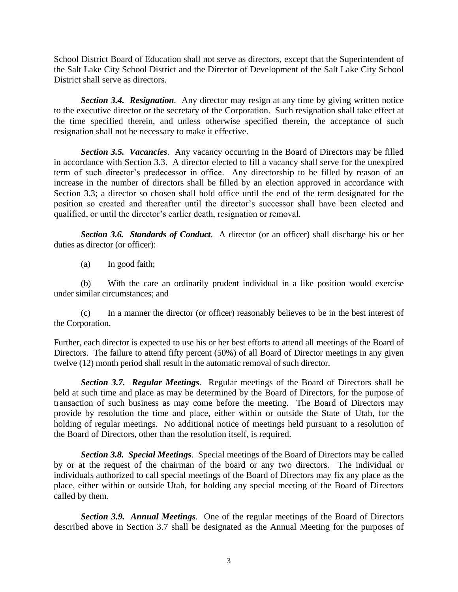School District Board of Education shall not serve as directors, except that the Superintendent of the Salt Lake City School District and the Director of Development of the Salt Lake City School District shall serve as directors.

*Section 3.4. Resignation.* Any director may resign at any time by giving written notice to the executive director or the secretary of the Corporation. Such resignation shall take effect at the time specified therein, and unless otherwise specified therein, the acceptance of such resignation shall not be necessary to make it effective.

*Section 3.5. Vacancies.* Any vacancy occurring in the Board of Directors may be filled in accordance with Section 3.3. A director elected to fill a vacancy shall serve for the unexpired term of such director's predecessor in office. Any directorship to be filled by reason of an increase in the number of directors shall be filled by an election approved in accordance with Section 3.3; a director so chosen shall hold office until the end of the term designated for the position so created and thereafter until the director's successor shall have been elected and qualified, or until the director's earlier death, resignation or removal.

*Section 3.6. Standards of Conduct*.A director (or an officer) shall discharge his or her duties as director (or officer):

(a) In good faith;

(b) With the care an ordinarily prudent individual in a like position would exercise under similar circumstances; and

(c) In a manner the director (or officer) reasonably believes to be in the best interest of the Corporation.

Further, each director is expected to use his or her best efforts to attend all meetings of the Board of Directors. The failure to attend fifty percent (50%) of all Board of Director meetings in any given twelve (12) month period shall result in the automatic removal of such director.

*Section 3.7. Regular Meetings.* Regular meetings of the Board of Directors shall be held at such time and place as may be determined by the Board of Directors, for the purpose of transaction of such business as may come before the meeting. The Board of Directors may provide by resolution the time and place, either within or outside the State of Utah, for the holding of regular meetings. No additional notice of meetings held pursuant to a resolution of the Board of Directors, other than the resolution itself, is required.

*Section 3.8. Special Meetings.* Special meetings of the Board of Directors may be called by or at the request of the chairman of the board or any two directors. The individual or individuals authorized to call special meetings of the Board of Directors may fix any place as the place, either within or outside Utah, for holding any special meeting of the Board of Directors called by them.

*Section 3.9. Annual Meetings.* One of the regular meetings of the Board of Directors described above in Section 3.7 shall be designated as the Annual Meeting for the purposes of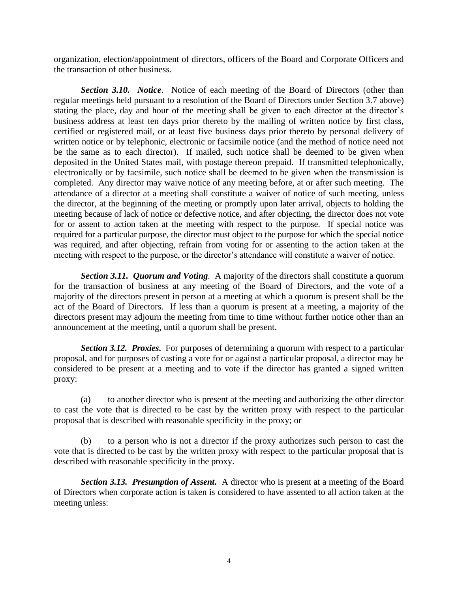organization, election/appointment of directors, officers of the Board and Corporate Officers and the transaction of other business.

*Section 3.10. Notice.* Notice of each meeting of the Board of Directors (other than regular meetings held pursuant to a resolution of the Board of Directors under Section 3.7 above) stating the place, day and hour of the meeting shall be given to each director at the director's business address at least ten days prior thereto by the mailing of written notice by first class, certified or registered mail, or at least five business days prior thereto by personal delivery of written notice or by telephonic, electronic or facsimile notice (and the method of notice need not be the same as to each director). If mailed, such notice shall be deemed to be given when deposited in the United States mail, with postage thereon prepaid. If transmitted telephonically, electronically or by facsimile, such notice shall be deemed to be given when the transmission is completed. Any director may waive notice of any meeting before, at or after such meeting. The attendance of a director at a meeting shall constitute a waiver of notice of such meeting, unless the director, at the beginning of the meeting or promptly upon later arrival, objects to holding the meeting because of lack of notice or defective notice, and after objecting, the director does not vote for or assent to action taken at the meeting with respect to the purpose. If special notice was required for a particular purpose, the director must object to the purpose for which the special notice was required, and after objecting, refrain from voting for or assenting to the action taken at the meeting with respect to the purpose, or the director's attendance will constitute a waiver of notice.

*Section 3.11. Quorum and Voting.* A majority of the directors shall constitute a quorum for the transaction of business at any meeting of the Board of Directors, and the vote of a majority of the directors present in person at a meeting at which a quorum is present shall be the act of the Board of Directors. If less than a quorum is present at a meeting, a majority of the directors present may adjourn the meeting from time to time without further notice other than an announcement at the meeting, until a quorum shall be present.

**Section 3.12. Proxies.** For purposes of determining a quorum with respect to a particular proposal, and for purposes of casting a vote for or against a particular proposal, a director may be considered to be present at a meeting and to vote if the director has granted a signed written proxy:

(a) to another director who is present at the meeting and authorizing the other director to cast the vote that is directed to be cast by the written proxy with respect to the particular proposal that is described with reasonable specificity in the proxy; or

(b) to a person who is not a director if the proxy authorizes such person to cast the vote that is directed to be cast by the written proxy with respect to the particular proposal that is described with reasonable specificity in the proxy.

*Section 3.13. Presumption of Assent***.** A director who is present at a meeting of the Board of Directors when corporate action is taken is considered to have assented to all action taken at the meeting unless: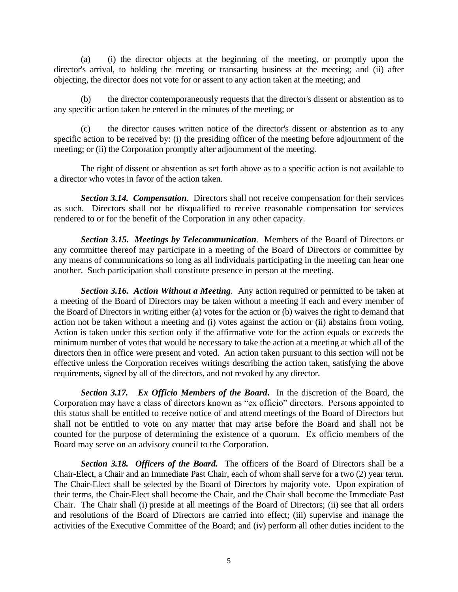(a) (i) the director objects at the beginning of the meeting, or promptly upon the director's arrival, to holding the meeting or transacting business at the meeting; and (ii) after objecting, the director does not vote for or assent to any action taken at the meeting; and

(b) the director contemporaneously requests that the director's dissent or abstention as to any specific action taken be entered in the minutes of the meeting; or

(c) the director causes written notice of the director's dissent or abstention as to any specific action to be received by: (i) the presiding officer of the meeting before adjournment of the meeting; or (ii) the Corporation promptly after adjournment of the meeting.

The right of dissent or abstention as set forth above as to a specific action is not available to a director who votes in favor of the action taken.

*Section 3.14. Compensation.* Directors shall not receive compensation for their services as such. Directors shall not be disqualified to receive reasonable compensation for services rendered to or for the benefit of the Corporation in any other capacity.

*Section 3.15. Meetings by Telecommunication.* Members of the Board of Directors or any committee thereof may participate in a meeting of the Board of Directors or committee by any means of communications so long as all individuals participating in the meeting can hear one another. Such participation shall constitute presence in person at the meeting.

*Section 3.16. Action Without a Meeting.* Any action required or permitted to be taken at a meeting of the Board of Directors may be taken without a meeting if each and every member of the Board of Directors in writing either (a) votes for the action or (b) waives the right to demand that action not be taken without a meeting and (i) votes against the action or (ii) abstains from voting. Action is taken under this section only if the affirmative vote for the action equals or exceeds the minimum number of votes that would be necessary to take the action at a meeting at which all of the directors then in office were present and voted. An action taken pursuant to this section will not be effective unless the Corporation receives writings describing the action taken, satisfying the above requirements, signed by all of the directors, and not revoked by any director.

*Section 3.17. Ex Officio Members of the Board***.** In the discretion of the Board, the Corporation may have a class of directors known as "ex officio" directors. Persons appointed to this status shall be entitled to receive notice of and attend meetings of the Board of Directors but shall not be entitled to vote on any matter that may arise before the Board and shall not be counted for the purpose of determining the existence of a quorum. Ex officio members of the Board may serve on an advisory council to the Corporation.

*Section 3.18. Officers of the Board.* The officers of the Board of Directors shall be a Chair-Elect, a Chair and an Immediate Past Chair, each of whom shall serve for a two (2) year term. The Chair-Elect shall be selected by the Board of Directors by majority vote. Upon expiration of their terms, the Chair-Elect shall become the Chair, and the Chair shall become the Immediate Past Chair. The Chair shall (i) preside at all meetings of the Board of Directors; (ii) see that all orders and resolutions of the Board of Directors are carried into effect; (iii) supervise and manage the activities of the Executive Committee of the Board; and (iv) perform all other duties incident to the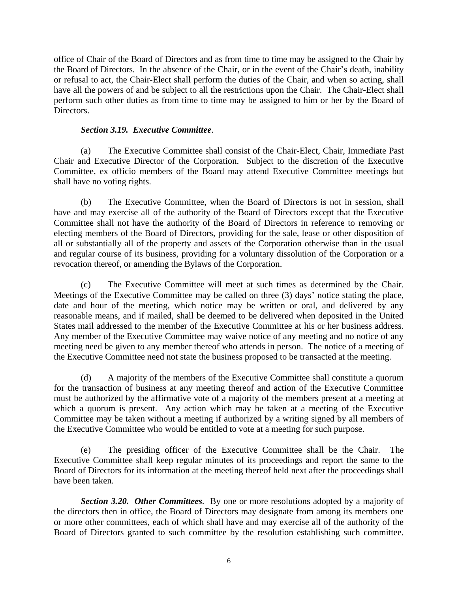office of Chair of the Board of Directors and as from time to time may be assigned to the Chair by the Board of Directors. In the absence of the Chair, or in the event of the Chair's death, inability or refusal to act, the Chair-Elect shall perform the duties of the Chair, and when so acting, shall have all the powers of and be subject to all the restrictions upon the Chair. The Chair-Elect shall perform such other duties as from time to time may be assigned to him or her by the Board of Directors.

## *Section 3.19.**Executive Committee*.

(a) The Executive Committee shall consist of the Chair-Elect, Chair, Immediate Past Chair and Executive Director of the Corporation. Subject to the discretion of the Executive Committee, ex officio members of the Board may attend Executive Committee meetings but shall have no voting rights.

(b) The Executive Committee, when the Board of Directors is not in session, shall have and may exercise all of the authority of the Board of Directors except that the Executive Committee shall not have the authority of the Board of Directors in reference to removing or electing members of the Board of Directors, providing for the sale, lease or other disposition of all or substantially all of the property and assets of the Corporation otherwise than in the usual and regular course of its business, providing for a voluntary dissolution of the Corporation or a revocation thereof, or amending the Bylaws of the Corporation.

(c) The Executive Committee will meet at such times as determined by the Chair. Meetings of the Executive Committee may be called on three (3) days' notice stating the place, date and hour of the meeting, which notice may be written or oral, and delivered by any reasonable means, and if mailed, shall be deemed to be delivered when deposited in the United States mail addressed to the member of the Executive Committee at his or her business address. Any member of the Executive Committee may waive notice of any meeting and no notice of any meeting need be given to any member thereof who attends in person. The notice of a meeting of the Executive Committee need not state the business proposed to be transacted at the meeting.

(d) A majority of the members of the Executive Committee shall constitute a quorum for the transaction of business at any meeting thereof and action of the Executive Committee must be authorized by the affirmative vote of a majority of the members present at a meeting at which a quorum is present. Any action which may be taken at a meeting of the Executive Committee may be taken without a meeting if authorized by a writing signed by all members of the Executive Committee who would be entitled to vote at a meeting for such purpose.

(e) The presiding officer of the Executive Committee shall be the Chair. The Executive Committee shall keep regular minutes of its proceedings and report the same to the Board of Directors for its information at the meeting thereof held next after the proceedings shall have been taken.

*Section 3.20. Other Committees.* By one or more resolutions adopted by a majority of the directors then in office, the Board of Directors may designate from among its members one or more other committees, each of which shall have and may exercise all of the authority of the Board of Directors granted to such committee by the resolution establishing such committee.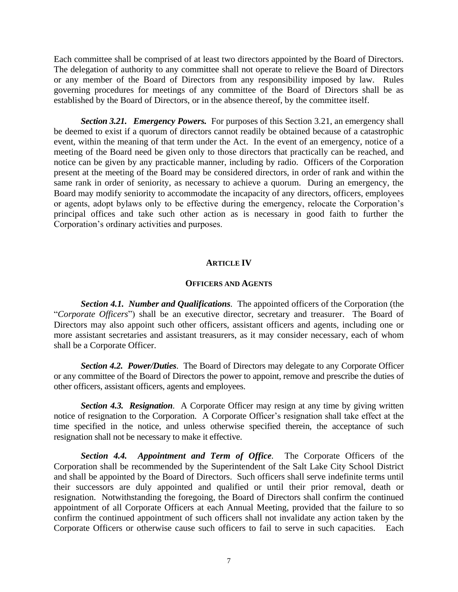Each committee shall be comprised of at least two directors appointed by the Board of Directors. The delegation of authority to any committee shall not operate to relieve the Board of Directors or any member of the Board of Directors from any responsibility imposed by law. Rules governing procedures for meetings of any committee of the Board of Directors shall be as established by the Board of Directors, or in the absence thereof, by the committee itself.

**Section 3.21. Emergency Powers.** For purposes of this Section 3.21, an emergency shall be deemed to exist if a quorum of directors cannot readily be obtained because of a catastrophic event, within the meaning of that term under the Act. In the event of an emergency, notice of a meeting of the Board need be given only to those directors that practically can be reached, and notice can be given by any practicable manner, including by radio. Officers of the Corporation present at the meeting of the Board may be considered directors, in order of rank and within the same rank in order of seniority, as necessary to achieve a quorum. During an emergency, the Board may modify seniority to accommodate the incapacity of any directors, officers, employees or agents, adopt bylaws only to be effective during the emergency, relocate the Corporation's principal offices and take such other action as is necessary in good faith to further the Corporation's ordinary activities and purposes.

### **ARTICLE IV**

### **OFFICERS AND AGENTS**

*Section 4.1. Number and Qualifications.* The appointed officers of the Corporation (the "*Corporate Officers*") shall be an executive director, secretary and treasurer. The Board of Directors may also appoint such other officers, assistant officers and agents, including one or more assistant secretaries and assistant treasurers, as it may consider necessary, each of whom shall be a Corporate Officer.

*Section 4.2. Power/Duties*. The Board of Directors may delegate to any Corporate Officer or any committee of the Board of Directors the power to appoint, remove and prescribe the duties of other officers, assistant officers, agents and employees.

*Section 4.3. Resignation*. A Corporate Officer may resign at any time by giving written notice of resignation to the Corporation. A Corporate Officer's resignation shall take effect at the time specified in the notice, and unless otherwise specified therein, the acceptance of such resignation shall not be necessary to make it effective.

*Section 4.4. Appointment and Term of Office.* The Corporate Officers of the Corporation shall be recommended by the Superintendent of the Salt Lake City School District and shall be appointed by the Board of Directors. Such officers shall serve indefinite terms until their successors are duly appointed and qualified or until their prior removal, death or resignation. Notwithstanding the foregoing, the Board of Directors shall confirm the continued appointment of all Corporate Officers at each Annual Meeting, provided that the failure to so confirm the continued appointment of such officers shall not invalidate any action taken by the Corporate Officers or otherwise cause such officers to fail to serve in such capacities. Each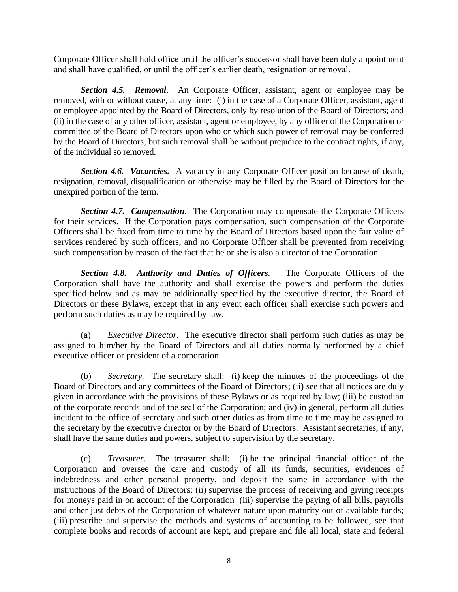Corporate Officer shall hold office until the officer's successor shall have been duly appointment and shall have qualified, or until the officer's earlier death, resignation or removal.

*Section 4.5. Removal*. An Corporate Officer, assistant, agent or employee may be removed, with or without cause, at any time: (i) in the case of a Corporate Officer, assistant, agent or employee appointed by the Board of Directors, only by resolution of the Board of Directors; and (ii) in the case of any other officer, assistant, agent or employee, by any officer of the Corporation or committee of the Board of Directors upon who or which such power of removal may be conferred by the Board of Directors; but such removal shall be without prejudice to the contract rights, if any, of the individual so removed.

*Section 4.6. Vacancies***.** A vacancy in any Corporate Officer position because of death, resignation, removal, disqualification or otherwise may be filled by the Board of Directors for the unexpired portion of the term.

*Section 4.7. Compensation.* The Corporation may compensate the Corporate Officers for their services. If the Corporation pays compensation, such compensation of the Corporate Officers shall be fixed from time to time by the Board of Directors based upon the fair value of services rendered by such officers, and no Corporate Officer shall be prevented from receiving such compensation by reason of the fact that he or she is also a director of the Corporation.

*Section 4.8. Authority and Duties of Officers.* The Corporate Officers of the Corporation shall have the authority and shall exercise the powers and perform the duties specified below and as may be additionally specified by the executive director, the Board of Directors or these Bylaws, except that in any event each officer shall exercise such powers and perform such duties as may be required by law.

(a) *Executive Director.* The executive director shall perform such duties as may be assigned to him/her by the Board of Directors and all duties normally performed by a chief executive officer or president of a corporation.

(b) *Secretary.* The secretary shall: (i) keep the minutes of the proceedings of the Board of Directors and any committees of the Board of Directors; (ii) see that all notices are duly given in accordance with the provisions of these Bylaws or as required by law; (iii) be custodian of the corporate records and of the seal of the Corporation; and (iv) in general, perform all duties incident to the office of secretary and such other duties as from time to time may be assigned to the secretary by the executive director or by the Board of Directors. Assistant secretaries, if any, shall have the same duties and powers, subject to supervision by the secretary.

(c) *Treasurer.* The treasurer shall: (i) be the principal financial officer of the Corporation and oversee the care and custody of all its funds, securities, evidences of indebtedness and other personal property, and deposit the same in accordance with the instructions of the Board of Directors; (ii) supervise the process of receiving and giving receipts for moneys paid in on account of the Corporation (iii) supervise the paying of all bills, payrolls and other just debts of the Corporation of whatever nature upon maturity out of available funds; (iii) prescribe and supervise the methods and systems of accounting to be followed, see that complete books and records of account are kept, and prepare and file all local, state and federal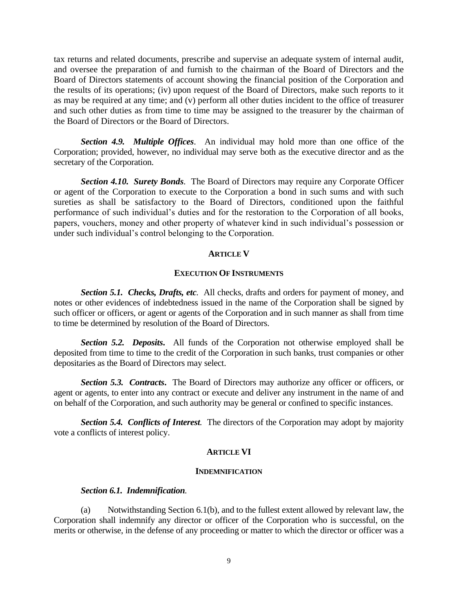tax returns and related documents, prescribe and supervise an adequate system of internal audit, and oversee the preparation of and furnish to the chairman of the Board of Directors and the Board of Directors statements of account showing the financial position of the Corporation and the results of its operations; (iv) upon request of the Board of Directors, make such reports to it as may be required at any time; and (v) perform all other duties incident to the office of treasurer and such other duties as from time to time may be assigned to the treasurer by the chairman of the Board of Directors or the Board of Directors.

*Section 4.9. Multiple Offices*. An individual may hold more than one office of the Corporation; provided, however, no individual may serve both as the executive director and as the secretary of the Corporation.

*Section 4.10. Surety Bonds.* The Board of Directors may require any Corporate Officer or agent of the Corporation to execute to the Corporation a bond in such sums and with such sureties as shall be satisfactory to the Board of Directors, conditioned upon the faithful performance of such individual's duties and for the restoration to the Corporation of all books, papers, vouchers, money and other property of whatever kind in such individual's possession or under such individual's control belonging to the Corporation.

### **ARTICLE V**

### **EXECUTION OF INSTRUMENTS**

*Section 5.1. Checks, Drafts, etc.*All checks, drafts and orders for payment of money, and notes or other evidences of indebtedness issued in the name of the Corporation shall be signed by such officer or officers, or agent or agents of the Corporation and in such manner as shall from time to time be determined by resolution of the Board of Directors.

*Section 5.2. Deposits***.** All funds of the Corporation not otherwise employed shall be deposited from time to time to the credit of the Corporation in such banks, trust companies or other depositaries as the Board of Directors may select.

**Section 5.3. Contracts.** The Board of Directors may authorize any officer or officers, or agent or agents, to enter into any contract or execute and deliver any instrument in the name of and on behalf of the Corporation, and such authority may be general or confined to specific instances.

*Section 5.4. Conflicts of Interest.* The directors of the Corporation may adopt by majority vote a conflicts of interest policy.

### **ARTICLE VI**

#### **INDEMNIFICATION**

#### *Section 6.1. Indemnification.*

(a) Notwithstanding Section 6.1(b), and to the fullest extent allowed by relevant law, the Corporation shall indemnify any director or officer of the Corporation who is successful, on the merits or otherwise, in the defense of any proceeding or matter to which the director or officer was a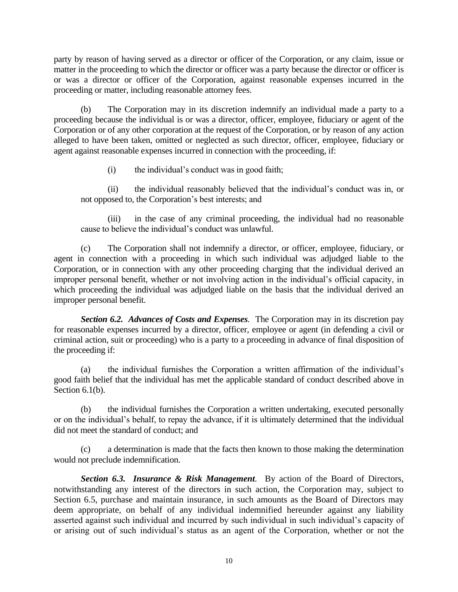party by reason of having served as a director or officer of the Corporation, or any claim, issue or matter in the proceeding to which the director or officer was a party because the director or officer is or was a director or officer of the Corporation, against reasonable expenses incurred in the proceeding or matter, including reasonable attorney fees.

(b) The Corporation may in its discretion indemnify an individual made a party to a proceeding because the individual is or was a director, officer, employee, fiduciary or agent of the Corporation or of any other corporation at the request of the Corporation, or by reason of any action alleged to have been taken, omitted or neglected as such director, officer, employee, fiduciary or agent against reasonable expenses incurred in connection with the proceeding, if:

(i) the individual's conduct was in good faith;

(ii) the individual reasonably believed that the individual's conduct was in, or not opposed to, the Corporation's best interests; and

(iii) in the case of any criminal proceeding, the individual had no reasonable cause to believe the individual's conduct was unlawful.

(c) The Corporation shall not indemnify a director, or officer, employee, fiduciary, or agent in connection with a proceeding in which such individual was adjudged liable to the Corporation, or in connection with any other proceeding charging that the individual derived an improper personal benefit, whether or not involving action in the individual's official capacity, in which proceeding the individual was adjudged liable on the basis that the individual derived an improper personal benefit.

*Section 6.2. Advances of Costs and Expenses.* The Corporation may in its discretion pay for reasonable expenses incurred by a director, officer, employee or agent (in defending a civil or criminal action, suit or proceeding) who is a party to a proceeding in advance of final disposition of the proceeding if:

(a) the individual furnishes the Corporation a written affirmation of the individual's good faith belief that the individual has met the applicable standard of conduct described above in Section 6.1(b).

(b) the individual furnishes the Corporation a written undertaking, executed personally or on the individual's behalf, to repay the advance, if it is ultimately determined that the individual did not meet the standard of conduct; and

(c) a determination is made that the facts then known to those making the determination would not preclude indemnification.

*Section 6.3. Insurance & Risk Management.* By action of the Board of Directors, notwithstanding any interest of the directors in such action, the Corporation may, subject to Section 6.5, purchase and maintain insurance, in such amounts as the Board of Directors may deem appropriate, on behalf of any individual indemnified hereunder against any liability asserted against such individual and incurred by such individual in such individual's capacity of or arising out of such individual's status as an agent of the Corporation, whether or not the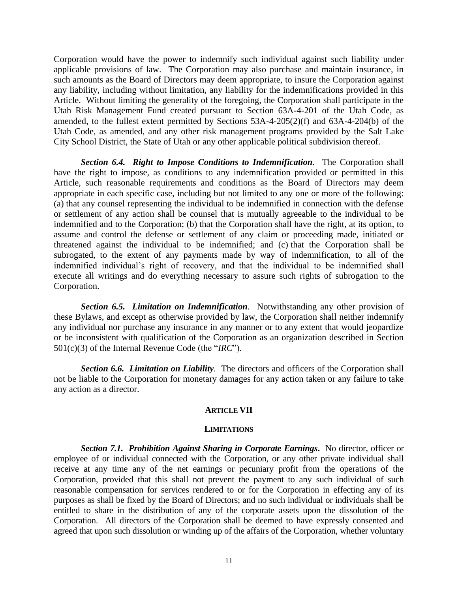Corporation would have the power to indemnify such individual against such liability under applicable provisions of law. The Corporation may also purchase and maintain insurance, in such amounts as the Board of Directors may deem appropriate, to insure the Corporation against any liability, including without limitation, any liability for the indemnifications provided in this Article. Without limiting the generality of the foregoing, the Corporation shall participate in the Utah Risk Management Fund created pursuant to Section 63A-4-201 of the Utah Code, as amended, to the fullest extent permitted by Sections 53A-4-205(2)(f) and 63A-4-204(b) of the Utah Code, as amended, and any other risk management programs provided by the Salt Lake City School District, the State of Utah or any other applicable political subdivision thereof.

*Section 6.4. Right to Impose Conditions to Indemnification.* The Corporation shall have the right to impose, as conditions to any indemnification provided or permitted in this Article, such reasonable requirements and conditions as the Board of Directors may deem appropriate in each specific case, including but not limited to any one or more of the following: (a) that any counsel representing the individual to be indemnified in connection with the defense or settlement of any action shall be counsel that is mutually agreeable to the individual to be indemnified and to the Corporation; (b) that the Corporation shall have the right, at its option, to assume and control the defense or settlement of any claim or proceeding made, initiated or threatened against the individual to be indemnified; and (c) that the Corporation shall be subrogated, to the extent of any payments made by way of indemnification, to all of the indemnified individual's right of recovery, and that the individual to be indemnified shall execute all writings and do everything necessary to assure such rights of subrogation to the Corporation.

*Section 6.5. Limitation on Indemnification.* Notwithstanding any other provision of these Bylaws, and except as otherwise provided by law, the Corporation shall neither indemnify any individual nor purchase any insurance in any manner or to any extent that would jeopardize or be inconsistent with qualification of the Corporation as an organization described in Section 501(c)(3) of the Internal Revenue Code (the "*IRC*").

*Section 6.6. Limitation on Liability.* The directors and officers of the Corporation shall not be liable to the Corporation for monetary damages for any action taken or any failure to take any action as a director.

### **ARTICLE VII**

#### **LIMITATIONS**

*Section 7.1.**Prohibition Against Sharing in Corporate Earnings***.** No director, officer or employee of or individual connected with the Corporation, or any other private individual shall receive at any time any of the net earnings or pecuniary profit from the operations of the Corporation, provided that this shall not prevent the payment to any such individual of such reasonable compensation for services rendered to or for the Corporation in effecting any of its purposes as shall be fixed by the Board of Directors; and no such individual or individuals shall be entitled to share in the distribution of any of the corporate assets upon the dissolution of the Corporation. All directors of the Corporation shall be deemed to have expressly consented and agreed that upon such dissolution or winding up of the affairs of the Corporation, whether voluntary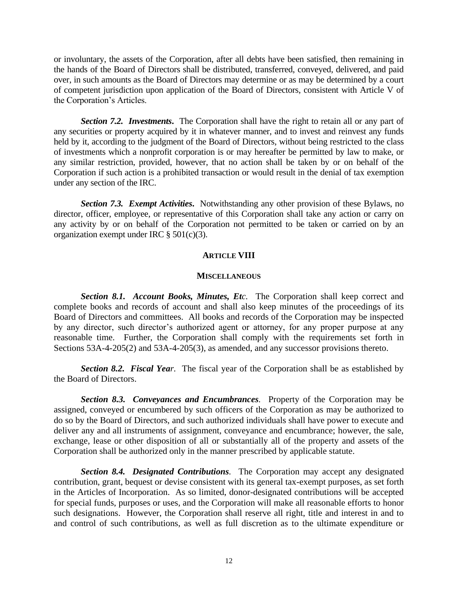or involuntary, the assets of the Corporation, after all debts have been satisfied, then remaining in the hands of the Board of Directors shall be distributed, transferred, conveyed, delivered, and paid over, in such amounts as the Board of Directors may determine or as may be determined by a court of competent jurisdiction upon application of the Board of Directors, consistent with Article V of the Corporation's Articles.

**Section 7.2. Investments.** The Corporation shall have the right to retain all or any part of any securities or property acquired by it in whatever manner, and to invest and reinvest any funds held by it, according to the judgment of the Board of Directors, without being restricted to the class of investments which a nonprofit corporation is or may hereafter be permitted by law to make, or any similar restriction, provided, however, that no action shall be taken by or on behalf of the Corporation if such action is a prohibited transaction or would result in the denial of tax exemption under any section of the IRC.

*Section 7.3. Exempt Activities***.** Notwithstanding any other provision of these Bylaws, no director, officer, employee, or representative of this Corporation shall take any action or carry on any activity by or on behalf of the Corporation not permitted to be taken or carried on by an organization exempt under IRC  $\S$  501(c)(3).

# **ARTICLE VIII**

#### **MISCELLANEOUS**

*Section 8.1. Account Books, Minutes, Etc.* The Corporation shall keep correct and complete books and records of account and shall also keep minutes of the proceedings of its Board of Directors and committees. All books and records of the Corporation may be inspected by any director, such director's authorized agent or attorney, for any proper purpose at any reasonable time. Further, the Corporation shall comply with the requirements set forth in Sections 53A-4-205(2) and 53A-4-205(3), as amended, and any successor provisions thereto.

*Section 8.2. Fiscal Year.* The fiscal year of the Corporation shall be as established by the Board of Directors.

*Section 8.3. Conveyances and Encumbrances.* Property of the Corporation may be assigned, conveyed or encumbered by such officers of the Corporation as may be authorized to do so by the Board of Directors, and such authorized individuals shall have power to execute and deliver any and all instruments of assignment, conveyance and encumbrance; however, the sale, exchange, lease or other disposition of all or substantially all of the property and assets of the Corporation shall be authorized only in the manner prescribed by applicable statute.

*Section 8.4. Designated Contributions.* The Corporation may accept any designated contribution, grant, bequest or devise consistent with its general tax-exempt purposes, as set forth in the Articles of Incorporation. As so limited, donor-designated contributions will be accepted for special funds, purposes or uses, and the Corporation will make all reasonable efforts to honor such designations. However, the Corporation shall reserve all right, title and interest in and to and control of such contributions, as well as full discretion as to the ultimate expenditure or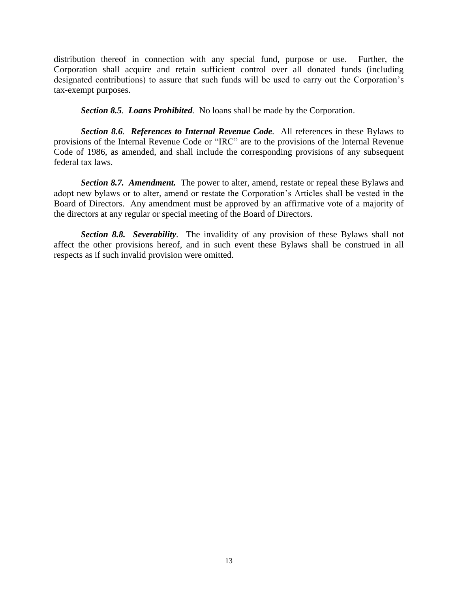distribution thereof in connection with any special fund, purpose or use. Further, the Corporation shall acquire and retain sufficient control over all donated funds (including designated contributions) to assure that such funds will be used to carry out the Corporation's tax-exempt purposes.

*Section 8.5. Loans Prohibited.* No loans shall be made by the Corporation.

*Section 8.6. References to Internal Revenue Code.* All references in these Bylaws to provisions of the Internal Revenue Code or "IRC" are to the provisions of the Internal Revenue Code of 1986, as amended, and shall include the corresponding provisions of any subsequent federal tax laws.

*Section 8.7. Amendment.* The power to alter, amend, restate or repeal these Bylaws and adopt new bylaws or to alter, amend or restate the Corporation's Articles shall be vested in the Board of Directors. Any amendment must be approved by an affirmative vote of a majority of the directors at any regular or special meeting of the Board of Directors.

*Section 8.8. Severability.* The invalidity of any provision of these Bylaws shall not affect the other provisions hereof, and in such event these Bylaws shall be construed in all respects as if such invalid provision were omitted.